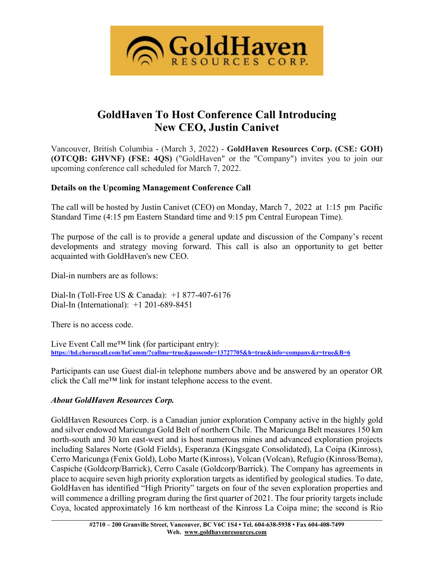

# **GoldHaven To Host Conference Call Introducing New CEO, Justin Canivet**

Vancouver, British Columbia - (March 3, 2022) - **GoldHaven Resources Corp. (CSE: GOH) (OTCQB: GHVNF) (FSE: 4QS)** ("GoldHaven" or the "Company") invites you to join our upcoming conference call scheduled for March 7, 2022.

## **Details on the Upcoming Management Conference Call**

The call will be hosted by Justin Canivet (CEO) on Monday, March 7, 2022 at 1:15 pm Pacific Standard Time (4:15 pm Eastern Standard time and 9:15 pm Central European Time).

The purpose of the call is to provide a general update and discussion of the Company's recent developments and strategy moving forward. This call is also an opportunity to get better acquainted with GoldHaven's new CEO.

Dial-in numbers are as follows:

Dial-In (Toll-Free US & Canada): +1 877-407-6176 Dial-In (International): +1 201-689-8451

There is no access code.

Live Event Call me<sup>TM</sup> link (for participant entry): **<https://hd.choruscall.com/InComm/?callme=true&passcode=13727705&h=true&info=company&r=true&B=6>**

Participants can use Guest dial-in telephone numbers above and be answered by an operator OR click the Call me™ link for instant telephone access to the event.

## *About GoldHaven Resources Corp.*

GoldHaven Resources Corp. is a Canadian junior exploration Company active in the highly gold and silver endowed Maricunga Gold Belt of northern Chile. The Maricunga Belt measures 150 km north-south and 30 km east-west and is host numerous mines and advanced exploration projects including Salares Norte (Gold Fields), Esperanza (Kingsgate Consolidated), La Coipa (Kinross), Cerro Maricunga (Fenix Gold), Lobo Marte (Kinross), Volcan (Volcan), Refugio (Kinross/Bema), Caspiche (Goldcorp/Barrick), Cerro Casale (Goldcorp/Barrick). The Company has agreements in place to acquire seven high priority exploration targets as identified by geological studies. To date, GoldHaven has identified "High Priority" targets on four of the seven exploration properties and will commence a drilling program during the first quarter of 2021. The four priority targets include Coya, located approximately 16 km northeast of the Kinross La Coipa mine; the second is Rio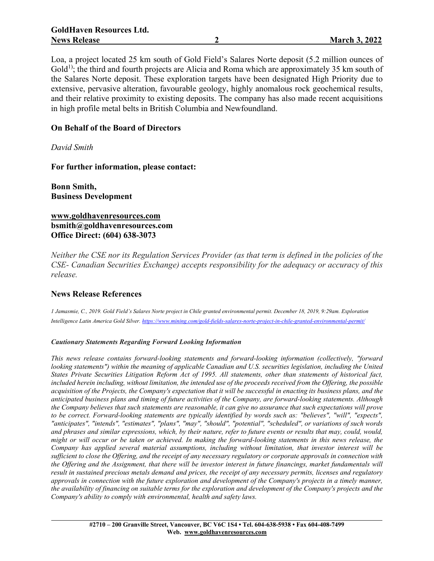Loa, a project located 25 km south of Gold Field's Salares Norte deposit (5.2 million ounces of  $Gold<sup>1</sup>$ ; the third and fourth projects are Alicia and Roma which are approximately 35 km south of the Salares Norte deposit. These exploration targets have been designated High Priority due to extensive, pervasive alteration, favourable geology, highly anomalous rock geochemical results, and their relative proximity to existing deposits. The company has also made recent acquisitions in high profile metal belts in British Columbia and Newfoundland.

#### **On Behalf of the Board of Directors**

*David Smith*

**For further information, please contact:**

**Bonn Smith, Business Development**

**[www.goldhavenresources.com](http://www.goldhavenresources.com/) bsmith@goldhavenresources.com Office Direct: (604) 638-3073**

Neither the CSE nor its Regulation Services Provider (as that term is defined in the policies of the *CSE- Canadian Securities Exchange) accepts responsibility for the adequacy or accuracy of this release.*

#### **News Release References**

1 Jamasmie, C., 2019. Gold Field's Salares Norte project in Chile granted environmental permit. December 18, 2019, 9:29am. Exploration *Intelligence Latin America Gold Silver. <https://www.mining.com/gold-fields-salares-norte-project-in-chile-granted-environmental-permit/>*

#### *Cautionary Statements Regarding Forward Looking Information*

*This news release contains forward-looking statements and forward-looking information (collectively, "forward looking statements") within the meaning of applicable Canadian and U.S. securities legislation, including the United* States Private Securities Litigation Reform Act of 1995. All statements, other than statements of historical fact, included herein including, without limitation, the intended use of the proceeds received from the Offering, the possible acquisition of the Projects, the Company's expectation that it will be successful in enacting its business plans, and the *anticipated business plans and timing of future activities of the Company, are forward-looking statements. Although* the Company believes that such statements are reasonable, it can give no assurance that such expectations will prove *to be correct. Forward-looking statements are typically identified by words such as: "believes", "will", "expects", "anticipates", "intends", "estimates", "plans", "may", "should", "potential", "scheduled", or variations of such words* and phrases and similar expressions, which, by their nature, refer to future events or results that may, could, would, might or will occur or be taken or achieved. In making the forward-looking statements in this news release, the *Company has applied several material assumptions, including without limitation, that investor interest will be* sufficient to close the Offering, and the receipt of any necessary regulatory or corporate approvals in connection with the Offering and the Assignment, that there will be investor interest in future financings, market fundamentals will result in sustained precious metals demand and prices, the receipt of any necessary permits, licenses and regulatory approvals in connection with the future exploration and development of the Company's projects in a timely manner. the availability of financing on suitable terms for the exploration and development of the Company's projects and the *Company's ability to comply with environmental, health and safety laws.*